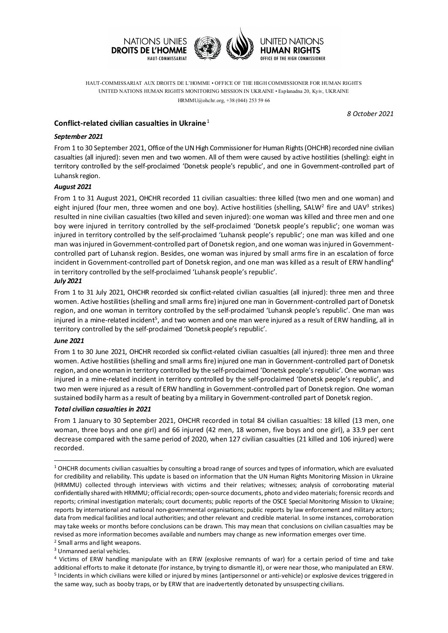

HAUT-COMMISSARIAT AUX DROITS DE L'HOMME • OFFICE OF THE HIGH COMMISSIONER FOR HUMAN RIGHTS UNITED NATIONS HUMAN RIGHTS MONITORING MISSION IN UKRAINE • Esplanadna 20, Kyiv, UKRAINE HRMMU@ohchr.org, +38 (044) 253 59 66

 *8 October 2021*

# **Conflict-related civilian casualties in Ukraine** [1](#page-0-0)

## *September 2021*

From 1 to 30 September 2021, Office of the UN High Commissioner for Human Rights (OHCHR) recorded nine civilian casualties (all injured): seven men and two women. All of them were caused by active hostilities (shelling): eight in territory controlled by the self-proclaimed 'Donetsk people's republic', and one in Government-controlled part of Luhansk region.

## *August 2021*

From 1 to 31 August 2021, OHCHR recorded 11 civilian casualties: three killed (two men and one woman) and eight injured (four men, three women and one boy). Active hostilities (shelling, SALW<sup>[2](#page-0-1)</sup> fire and UAV<sup>[3](#page-0-2)</sup> strikes) resulted in nine civilian casualties (two killed and seven injured): one woman was killed and three men and one boy were injured in territory controlled by the self-proclaimed 'Donetsk people's republic'; one woman was injured in territory controlled by the self-proclaimed 'Luhansk people's republic'; one man was killed and one man was injured in Government-controlled part of Donetsk region, and one woman was injured in Governmentcontrolled part of Luhansk region. Besides, one woman was injured by small arms fire in an escalation of force incident in Government-controlled part of Donetsk region, and one man was killed as a result of ERW handling<sup>4</sup> in territory controlled by the self-proclaimed 'Luhansk people's republic'.

## *July 2021*

From 1 to 31 July 2021, OHCHR recorded six conflict-related civilian casualties (all injured): three men and three women. Active hostilities (shelling and small arms fire) injured one man in Government-controlled part of Donetsk region, and one woman in territory controlled by the self-proclaimed 'Luhansk people's republic'. One man was injured in a mine-related incident<sup>[5](#page-0-4)</sup>, and two women and one man were injured as a result of ERW handling, all in territory controlled by the self-proclaimed 'Donetsk people's republic'.

## *June 2021*

-

From 1 to 30 June 2021, OHCHR recorded six conflict-related civilian casualties (all injured): three men and three women. Active hostilities (shelling and small arms fire) injured one man in Government-controlled part of Donetsk region, and one woman in territory controlled by the self-proclaimed 'Donetsk people's republic'. One woman was injured in a mine-related incident in territory controlled by the self-proclaimed 'Donetsk people's republic', and two men were injured as a result of ERW handling in Government-controlled part of Donetsk region. One woman sustained bodily harm as a result of beating by a military in Government-controlled part of Donetsk region.

#### *Total civilian casualties in 2021*

From 1 January to 30 September 2021, OHCHR recorded in total 84 civilian casualties: 18 killed (13 men, one woman, three boys and one girl) and 66 injured (42 men, 18 women, five boys and one girl), a 33.9 per cent decrease compared with the same period of 2020, when 127 civilian casualties (21 killed and 106 injured) were recorded.

- <span id="page-0-1"></span><sup>2</sup> Small arms and light weapons.
- <span id="page-0-2"></span><sup>3</sup> Unmanned aerial vehicles.

<span id="page-0-4"></span><span id="page-0-3"></span><sup>4</sup> Victims of ERW handling manipulate with an ERW (explosive remnants of war) for a certain period of time and take additional efforts to make it detonate (for instance, by trying to dismantle it), or were near those, who manipulated an ERW. <sup>5</sup> Incidents in which civilians were killed or injured by mines (antipersonnel or anti-vehicle) or explosive devices triggered in the same way, such as booby traps, or by ERW that are inadvertently detonated by unsuspecting civilians.

<span id="page-0-0"></span> $1$  OHCHR documents civilian casualties by consulting a broad range of sources and types of information, which are evaluated for credibility and reliability. This update is based on information that the UN Human Rights Monitoring Mission in Ukraine (HRMMU) collected through interviews with victims and their relatives; witnesses; analysis of corroborating material confidentially shared with HRMMU; official records; open-source documents, photo and video materials; forensic records and reports; criminal investigation materials; court documents; public reports of the OSCE Special Monitoring Mission to Ukraine; reports by international and national non-governmental organisations; public reports by law enforcement and military actors; data from medical facilities and local authorities; and other relevant and credible material. In some instances, corroboration may take weeks or months before conclusions can be drawn. This may mean that conclusions on civilian casualties may be revised as more information becomes available and numbers may change as new information emerges over time.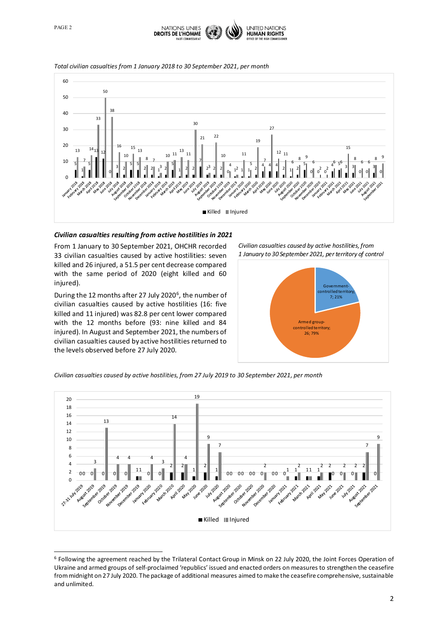

-



#### *Total civilian casualties from 1 January 2018 to 30 September 2021, per month*



## *Civilian casualties resulting from active hostilities in 2021*

From 1 January to 30 September 2021, OHCHR recorded civilian casualties caused by active hostilities: seven killed and 26 injured, a 51.5 per cent decrease compared with the same period of 2020 (eight killed and 60 injured).

During the 12 months after 27 July 2020<sup>6</sup>, the number of civilian casualties caused by active hostilities (16: five killed and 11 injured) was 82.8 per cent lower compared with the 12 months before (93: nine killed and 84 injured). In August and September 2021, the numbers of civilian casualties caused by active hostilities returned to the levels observed before 27 July 2020.

*Civilian casualties caused by active hostilities, from January to 30 September 2021, per territory of control*



*Civilian casualties caused by active hostilities, from 27 July 2019 to 30 September 2021, per month*



<span id="page-1-0"></span> Following the agreement reached by the Trilateral Contact Group in Minsk on 22 July 2020, the Joint Forces Operation of Ukraine and armed groups of self-proclaimed 'republics' issued and enacted orders on measures to strengthen the ceasefire from midnight on 27 July 2020. The package of additional measures aimed to make the ceasefire comprehensive, sustainable and unlimited.